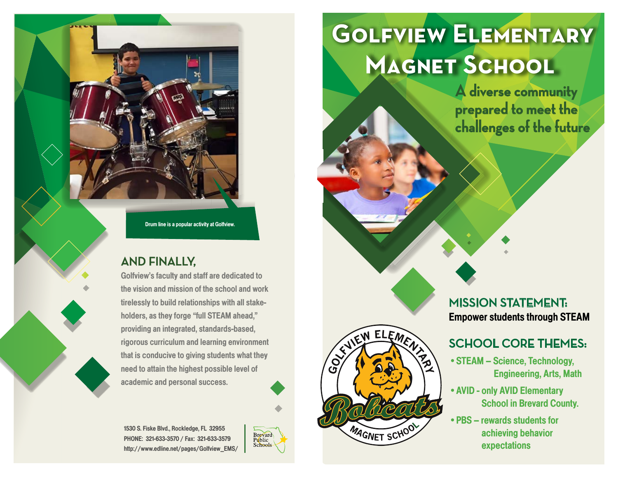Drum line is a popular activity at Golfview.

#### **AND FINALLY,**

Golfview's faculty and staff are dedicated to the vision and mission of the school and work tirelessly to build relationships with all stakeholders, as they forge "full STEAM ahead," providing an integrated, standards-based, rigorous curriculum and learning environment that is conducive to giving students what they need to attain the highest possible level of academic and personal success.

1530 S. Fiske Blvd., Rockledge, FL 32955 PHONE: 321-633-3570 / Fax: 321-633-3579 http://www.edline.net/pages/Golfview\_EMS/



SUIEM ELEMENT

MAGNET SCHOO

 $\overline{3}$ 

# **Golfview Elementary MAGNET SCHOOL**

**A diverse community prepared to meet the challenges of the future**

**MISSION STATEMENT:**  Empower students through STEAM

## **SCHOOL CORE THEMES:**

- •STEAM Science, Technology, Engineering, Arts, Math
- •AVID only AVID Elementary School in Brevard County.
- •PBS rewards students for achieving behavior expectations